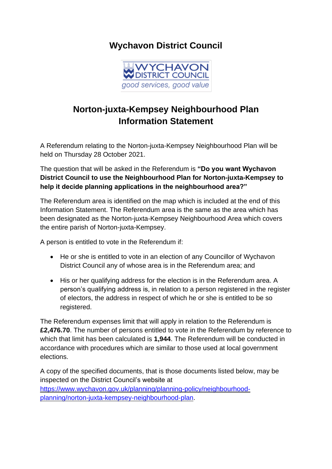## **Wychavon District Council**



## **Norton-juxta-Kempsey Neighbourhood Plan Information Statement**

A Referendum relating to the Norton-juxta-Kempsey Neighbourhood Plan will be held on Thursday 28 October 2021.

The question that will be asked in the Referendum is **"Do you want Wychavon District Council to use the Neighbourhood Plan for Norton-juxta-Kempsey to help it decide planning applications in the neighbourhood area?"**

The Referendum area is identified on the map which is included at the end of this Information Statement. The Referendum area is the same as the area which has been designated as the Norton-juxta-Kempsey Neighbourhood Area which covers the entire parish of Norton-juxta-Kempsey.

A person is entitled to vote in the Referendum if:

- He or she is entitled to vote in an election of any Councillor of Wychavon District Council any of whose area is in the Referendum area; and
- His or her qualifying address for the election is in the Referendum area. A person's qualifying address is, in relation to a person registered in the register of electors, the address in respect of which he or she is entitled to be so registered.

The Referendum expenses limit that will apply in relation to the Referendum is **£2,476.70**. The number of persons entitled to vote in the Referendum by reference to which that limit has been calculated is **1,944**. The Referendum will be conducted in accordance with procedures which are similar to those used at local government elections.

A copy of the specified documents, that is those documents listed below, may be inspected on the District Council's website at [https://www.wychavon.gov.uk/planning/planning-policy/neighbourhood](https://www.wychavon.gov.uk/planning/planning-policy/neighbourhood-planning/norton-juxta-kempsey-neighbourhood-plan)[planning/norton-juxta-kempsey-neighbourhood-plan.](https://www.wychavon.gov.uk/planning/planning-policy/neighbourhood-planning/norton-juxta-kempsey-neighbourhood-plan)